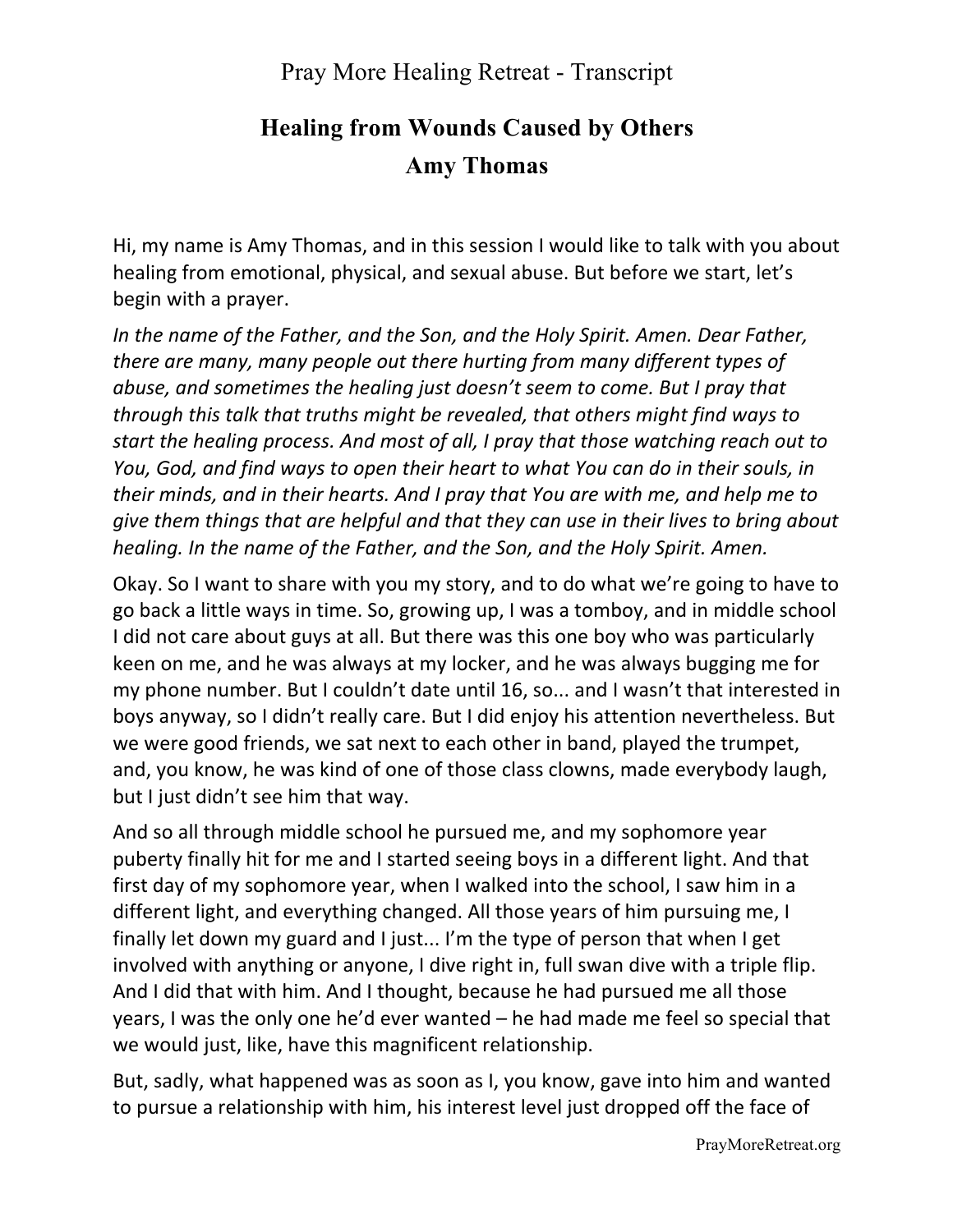## **Healing from Wounds Caused by Others Amy Thomas**

Hi, my name is Amy Thomas, and in this session I would like to talk with you about healing from emotional, physical, and sexual abuse. But before we start, let's begin with a prayer.

In the name of the Father, and the Son, and the Holy Spirit. Amen. Dear Father, *there are many, many people out there hurting from many different types of abuse, and sometimes the healing just doesn't seem to come. But I pray that through this talk that truths might be revealed, that others might find ways to start the healing process. And most of all, I pray that those watching reach out to You, God, and find ways to open their heart to what You can do in their souls, in their minds, and in their hearts. And I pray that You are with me, and help me to give them things that are helpful and that they can use in their lives to bring about healing.* In the name of the Father, and the Son, and the Holy Spirit. Amen.

Okay. So I want to share with you my story, and to do what we're going to have to go back a little ways in time. So, growing up, I was a tomboy, and in middle school I did not care about guys at all. But there was this one boy who was particularly keen on me, and he was always at my locker, and he was always bugging me for my phone number. But I couldn't date until 16, so... and I wasn't that interested in boys anyway, so I didn't really care. But I did enjoy his attention nevertheless. But we were good friends, we sat next to each other in band, played the trumpet, and, you know, he was kind of one of those class clowns, made everybody laugh, but I just didn't see him that way.

And so all through middle school he pursued me, and my sophomore year puberty finally hit for me and I started seeing boys in a different light. And that first day of my sophomore year, when I walked into the school, I saw him in a different light, and everything changed. All those years of him pursuing me, I finally let down my guard and I just... I'm the type of person that when I get involved with anything or anyone, I dive right in, full swan dive with a triple flip. And I did that with him. And I thought, because he had pursued me all those years, I was the only one he'd ever wanted  $-$  he had made me feel so special that we would just, like, have this magnificent relationship.

But, sadly, what happened was as soon as I, you know, gave into him and wanted to pursue a relationship with him, his interest level just dropped off the face of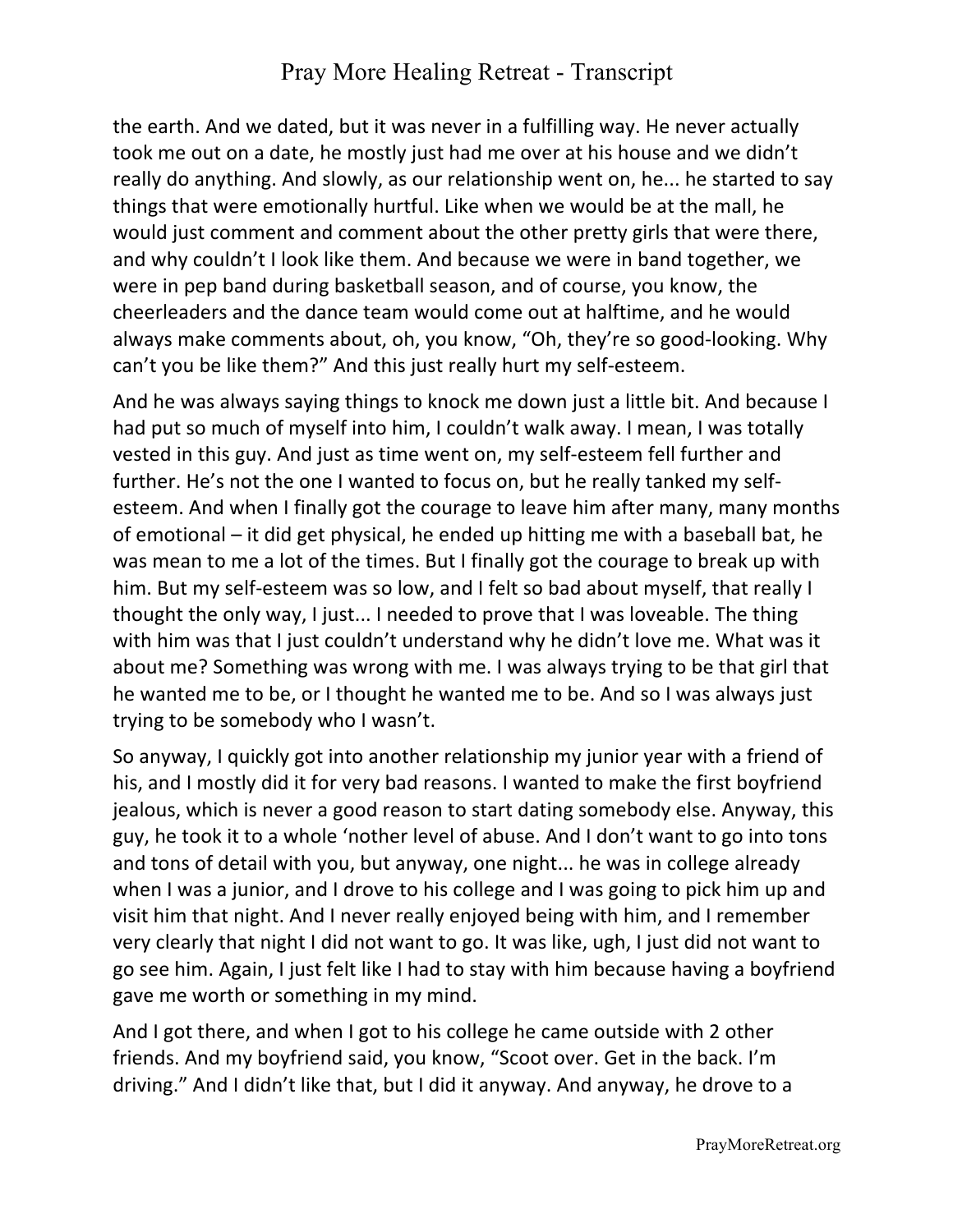the earth. And we dated, but it was never in a fulfilling way. He never actually took me out on a date, he mostly just had me over at his house and we didn't really do anything. And slowly, as our relationship went on, he... he started to say things that were emotionally hurtful. Like when we would be at the mall, he would just comment and comment about the other pretty girls that were there, and why couldn't I look like them. And because we were in band together, we were in pep band during basketball season, and of course, you know, the cheerleaders and the dance team would come out at halftime, and he would always make comments about, oh, you know, "Oh, they're so good-looking. Why can't you be like them?" And this just really hurt my self-esteem.

And he was always saying things to knock me down just a little bit. And because I had put so much of myself into him, I couldn't walk away. I mean, I was totally vested in this guy. And just as time went on, my self-esteem fell further and further. He's not the one I wanted to focus on, but he really tanked my selfesteem. And when I finally got the courage to leave him after many, many months of emotional  $-$  it did get physical, he ended up hitting me with a baseball bat, he was mean to me a lot of the times. But I finally got the courage to break up with him. But my self-esteem was so low, and I felt so bad about myself, that really I thought the only way, I just... I needed to prove that I was loveable. The thing with him was that I just couldn't understand why he didn't love me. What was it about me? Something was wrong with me. I was always trying to be that girl that he wanted me to be, or I thought he wanted me to be. And so I was always just trying to be somebody who I wasn't.

So anyway, I quickly got into another relationship my junior year with a friend of his, and I mostly did it for very bad reasons. I wanted to make the first boyfriend jealous, which is never a good reason to start dating somebody else. Anyway, this guy, he took it to a whole 'nother level of abuse. And I don't want to go into tons and tons of detail with you, but anyway, one night... he was in college already when I was a junior, and I drove to his college and I was going to pick him up and visit him that night. And I never really enjoyed being with him, and I remember very clearly that night I did not want to go. It was like, ugh, I just did not want to go see him. Again, I just felt like I had to stay with him because having a boyfriend gave me worth or something in my mind.

And I got there, and when I got to his college he came outside with 2 other friends. And my boyfriend said, you know, "Scoot over. Get in the back. I'm driving." And I didn't like that, but I did it anyway. And anyway, he drove to a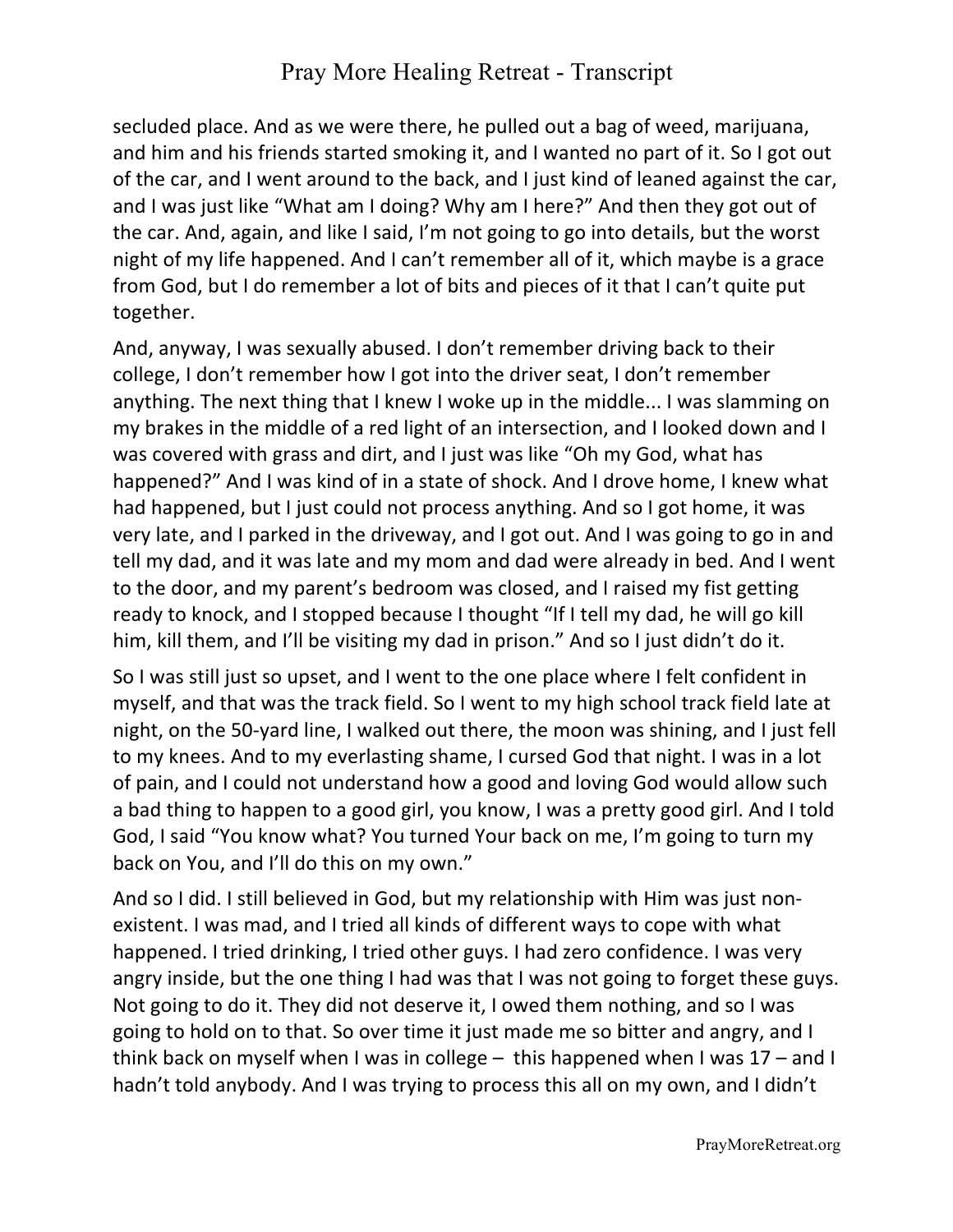secluded place. And as we were there, he pulled out a bag of weed, marijuana, and him and his friends started smoking it, and I wanted no part of it. So I got out of the car, and I went around to the back, and I just kind of leaned against the car, and I was just like "What am I doing? Why am I here?" And then they got out of the car. And, again, and like I said, I'm not going to go into details, but the worst night of my life happened. And I can't remember all of it, which maybe is a grace from God, but I do remember a lot of bits and pieces of it that I can't quite put together. 

And, anyway, I was sexually abused. I don't remember driving back to their college, I don't remember how I got into the driver seat, I don't remember anything. The next thing that I knew I woke up in the middle... I was slamming on my brakes in the middle of a red light of an intersection, and I looked down and I was covered with grass and dirt, and I just was like "Oh my God, what has happened?" And I was kind of in a state of shock. And I drove home, I knew what had happened, but I just could not process anything. And so I got home, it was very late, and I parked in the driveway, and I got out. And I was going to go in and tell my dad, and it was late and my mom and dad were already in bed. And I went to the door, and my parent's bedroom was closed, and I raised my fist getting ready to knock, and I stopped because I thought "If I tell my dad, he will go kill him, kill them, and I'll be visiting my dad in prison." And so I just didn't do it.

So I was still just so upset, and I went to the one place where I felt confident in myself, and that was the track field. So I went to my high school track field late at night, on the 50-yard line, I walked out there, the moon was shining, and I just fell to my knees. And to my everlasting shame, I cursed God that night. I was in a lot of pain, and I could not understand how a good and loving God would allow such a bad thing to happen to a good girl, you know, I was a pretty good girl. And I told God, I said "You know what? You turned Your back on me, I'm going to turn my back on You, and I'll do this on my own."

And so I did. I still believed in God, but my relationship with Him was just nonexistent. I was mad, and I tried all kinds of different ways to cope with what happened. I tried drinking, I tried other guys. I had zero confidence. I was very angry inside, but the one thing I had was that I was not going to forget these guys. Not going to do it. They did not deserve it, I owed them nothing, and so I was going to hold on to that. So over time it just made me so bitter and angry, and I think back on myself when I was in college  $-$  this happened when I was  $17 -$  and I hadn't told anybody. And I was trying to process this all on my own, and I didn't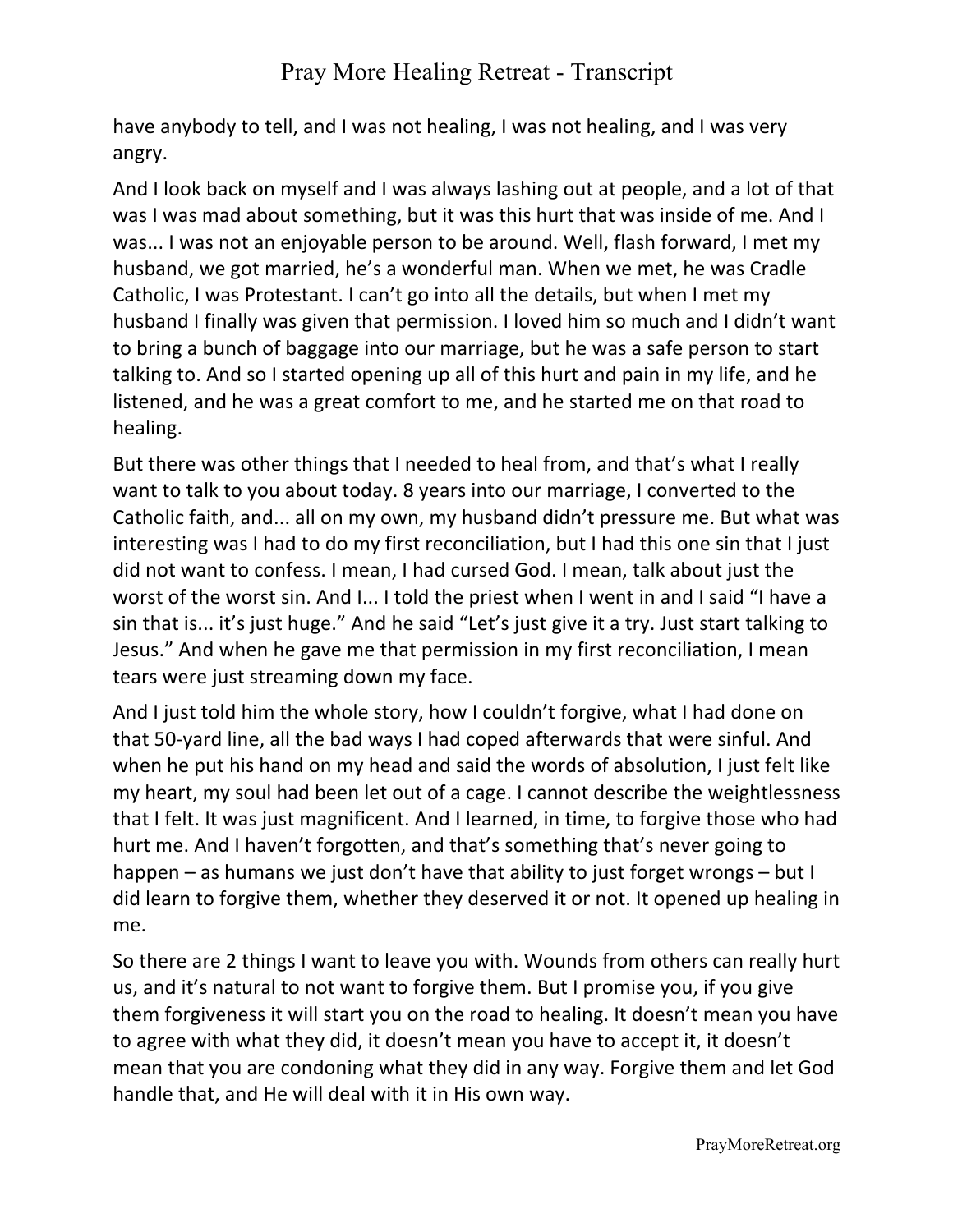have anybody to tell, and I was not healing, I was not healing, and I was very angry. 

And I look back on myself and I was always lashing out at people, and a lot of that was I was mad about something, but it was this hurt that was inside of me. And I was... I was not an enjoyable person to be around. Well, flash forward, I met my husband, we got married, he's a wonderful man. When we met, he was Cradle Catholic, I was Protestant. I can't go into all the details, but when I met my husband I finally was given that permission. I loved him so much and I didn't want to bring a bunch of baggage into our marriage, but he was a safe person to start talking to. And so I started opening up all of this hurt and pain in my life, and he listened, and he was a great comfort to me, and he started me on that road to healing. 

But there was other things that I needed to heal from, and that's what I really want to talk to you about today. 8 years into our marriage, I converted to the Catholic faith, and... all on my own, my husband didn't pressure me. But what was interesting was I had to do my first reconciliation, but I had this one sin that I just did not want to confess. I mean, I had cursed God. I mean, talk about just the worst of the worst sin. And I... I told the priest when I went in and I said "I have a sin that is... it's just huge." And he said "Let's just give it a try. Just start talking to Jesus." And when he gave me that permission in my first reconciliation, I mean tears were just streaming down my face.

And I just told him the whole story, how I couldn't forgive, what I had done on that 50-yard line, all the bad ways I had coped afterwards that were sinful. And when he put his hand on my head and said the words of absolution, I just felt like my heart, my soul had been let out of a cage. I cannot describe the weightlessness that I felt. It was just magnificent. And I learned, in time, to forgive those who had hurt me. And I haven't forgotten, and that's something that's never going to happen – as humans we just don't have that ability to just forget wrongs – but I did learn to forgive them, whether they deserved it or not. It opened up healing in me. 

So there are 2 things I want to leave you with. Wounds from others can really hurt us, and it's natural to not want to forgive them. But I promise you, if you give them forgiveness it will start you on the road to healing. It doesn't mean you have to agree with what they did, it doesn't mean you have to accept it, it doesn't mean that you are condoning what they did in any way. Forgive them and let God handle that, and He will deal with it in His own way.